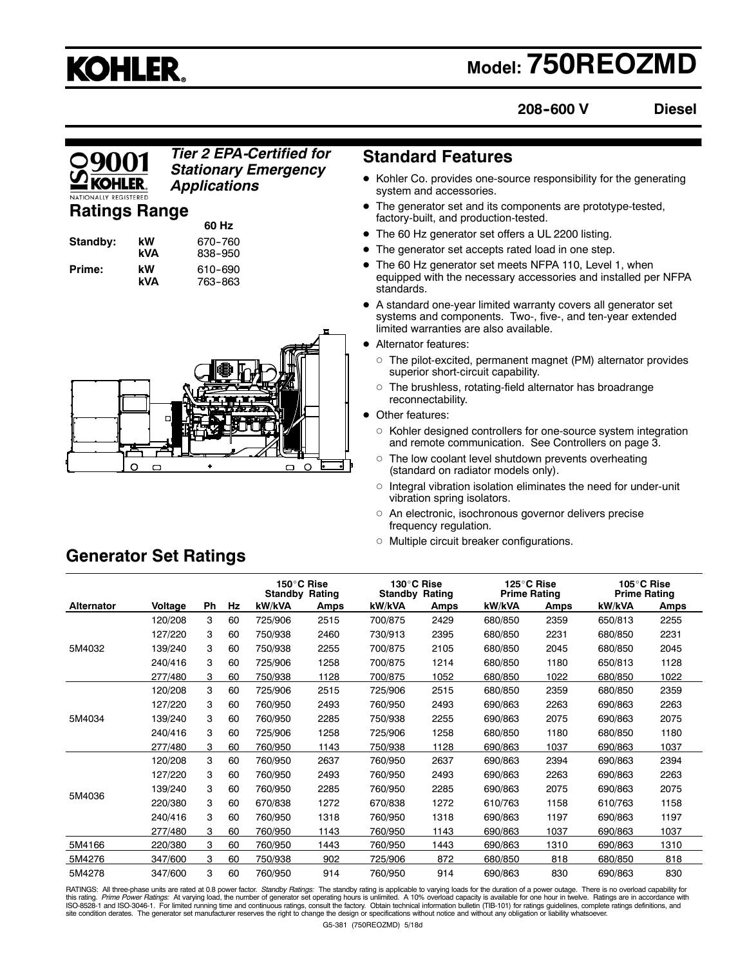# **KOHLER.**

# **Model: 750REOZMD**

**208--600 V**

**Diesel**

# *Tier 2 EPA-Certified for* **Standard Features** *Stationary Emergency Applications*

# **Ratings Range**

| Standby: |  |
|----------|--|
| Prime:   |  |

**60 Hz kW** 670–760<br>**kVA** 838–950 **kVA** 838--950 **kW** 610-690<br>**kVA** 763-863 **kVA** 763--863



- $\bullet$  Kohler Co. provides one-source responsibility for the generating system and accessories.
- The generator set and its components are prototype-tested, factory-built, and production-tested.
- The 60 Hz generator set offers a UL 2200 listing.
- The generator set accepts rated load in one step.
- The 60 Hz generator set meets NFPA 110, Level 1, when equipped with the necessary accessories and installed per NFPA standards.
- A standard one-year limited warranty covers all generator set systems and components. Two-, five-, and ten-year extended limited warranties are also available.
- Alternator features:
	- $\circ$  The pilot-excited, permanent magnet (PM) alternator provides superior short-circuit capability.
	- $\circ$  The brushless, rotating-field alternator has broadrange reconnectability.
- Other features:
	- o Kohler designed controllers for one-source system integration and remote communication. See Controllers on page 3.
	- $\circ$  The low coolant level shutdown prevents overheating (standard on radiator models only).
	- $\circ$  Integral vibration isolation eliminates the need for under-unit vibration spring isolators.
	- o An electronic, isochronous governor delivers precise frequency regulation.
	- o Multiple circuit breaker configurations.

|            |         |    |    | 150°C Rise<br><b>Standby Rating</b> |      | 130°C Rise<br><b>Standby Rating</b> |      | 125°C Rise<br><b>Prime Rating</b> |      | 105°C Rise<br><b>Prime Rating</b> |      |
|------------|---------|----|----|-------------------------------------|------|-------------------------------------|------|-----------------------------------|------|-----------------------------------|------|
| Alternator | Voltage | Ph | Hz | kW/kVA                              | Amps | kW/kVA                              | Amps | kW/kVA                            | Amps | kW/kVA                            | Amps |
|            | 120/208 | 3  | 60 | 725/906                             | 2515 | 700/875                             | 2429 | 680/850                           | 2359 | 650/813                           | 2255 |
|            | 127/220 | 3  | 60 | 750/938                             | 2460 | 730/913                             | 2395 | 680/850                           | 2231 | 680/850                           | 2231 |
| 5M4032     | 139/240 | 3  | 60 | 750/938                             | 2255 | 700/875                             | 2105 | 680/850                           | 2045 | 680/850                           | 2045 |
|            | 240/416 | 3  | 60 | 725/906                             | 1258 | 700/875                             | 1214 | 680/850                           | 1180 | 650/813                           | 1128 |
|            | 277/480 | 3  | 60 | 750/938                             | 1128 | 700/875                             | 1052 | 680/850                           | 1022 | 680/850                           | 1022 |
|            | 120/208 | 3  | 60 | 725/906                             | 2515 | 725/906                             | 2515 | 680/850                           | 2359 | 680/850                           | 2359 |
|            | 127/220 | 3  | 60 | 760/950                             | 2493 | 760/950                             | 2493 | 690/863                           | 2263 | 690/863                           | 2263 |
| 5M4034     | 139/240 | 3  | 60 | 760/950                             | 2285 | 750/938                             | 2255 | 690/863                           | 2075 | 690/863                           | 2075 |
|            | 240/416 | 3  | 60 | 725/906                             | 1258 | 725/906                             | 1258 | 680/850                           | 1180 | 680/850                           | 1180 |
|            | 277/480 | 3  | 60 | 760/950                             | 1143 | 750/938                             | 1128 | 690/863                           | 1037 | 690/863                           | 1037 |
|            | 120/208 | 3  | 60 | 760/950                             | 2637 | 760/950                             | 2637 | 690/863                           | 2394 | 690/863                           | 2394 |
|            | 127/220 | 3  | 60 | 760/950                             | 2493 | 760/950                             | 2493 | 690/863                           | 2263 | 690/863                           | 2263 |
|            | 139/240 | 3  | 60 | 760/950                             | 2285 | 760/950                             | 2285 | 690/863                           | 2075 | 690/863                           | 2075 |
| 5M4036     | 220/380 | 3  | 60 | 670/838                             | 1272 | 670/838                             | 1272 | 610/763                           | 1158 | 610/763                           | 1158 |
|            | 240/416 | 3  | 60 | 760/950                             | 1318 | 760/950                             | 1318 | 690/863                           | 1197 | 690/863                           | 1197 |
|            | 277/480 | 3  | 60 | 760/950                             | 1143 | 760/950                             | 1143 | 690/863                           | 1037 | 690/863                           | 1037 |
| 5M4166     | 220/380 | 3  | 60 | 760/950                             | 1443 | 760/950                             | 1443 | 690/863                           | 1310 | 690/863                           | 1310 |
| 5M4276     | 347/600 | 3  | 60 | 750/938                             | 902  | 725/906                             | 872  | 680/850                           | 818  | 680/850                           | 818  |
| 5M4278     | 347/600 | 3  | 60 | 760/950                             | 914  | 760/950                             | 914  | 690/863                           | 830  | 690/863                           | 830  |

RATINGS: All three-phase units are rated at 0.8 power factor. Standby Ratings: The standby rating is applicable to varying loads for the duration of a power outage. There is no overload capability for this rating. *Prime Power Ratings:* At varying load, the number of generator set operating hours is unlimited. A 10% overload capacity is available for one hour in twelve. Ratings are in accordance with<br>ISO-8528-1 and ISOsite condition derates. The generator set manufacturer reserves the right to change the design or specifications without notice and without any obligation or liability whatsoever.

# **Generator Set Ratings**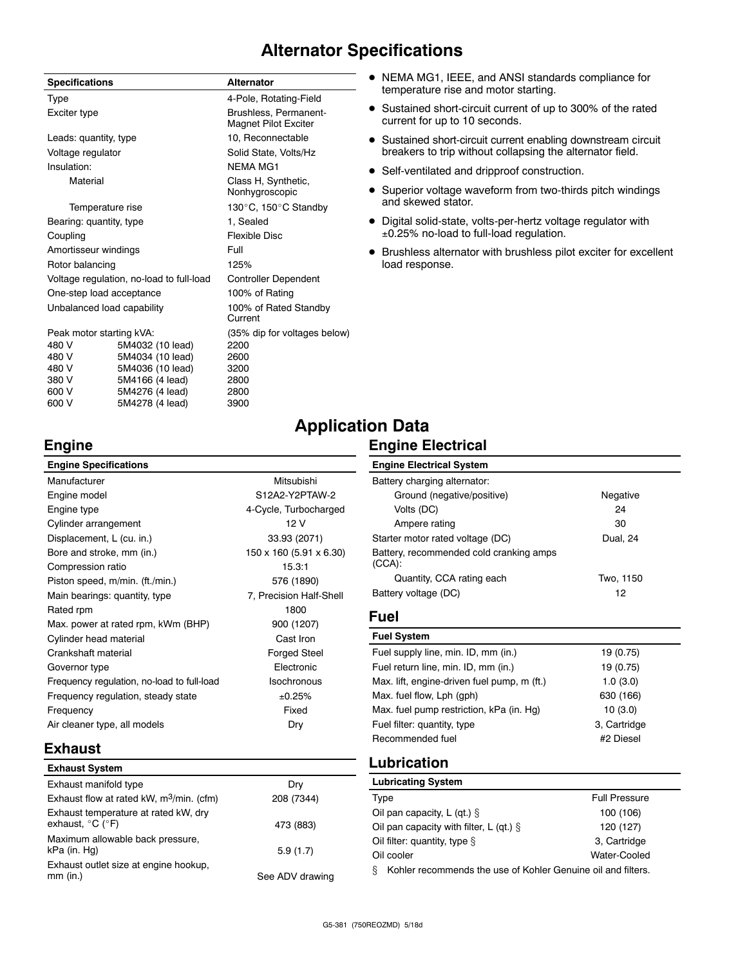# **Alternator Specifications**

| <b>Specifications</b>                    |                  | <b>Alternator</b>                             |  |
|------------------------------------------|------------------|-----------------------------------------------|--|
| Type                                     |                  | 4-Pole, Rotating-Field                        |  |
| Exciter type                             |                  | Brushless, Permanent-<br>Magnet Pilot Exciter |  |
| Leads: quantity, type                    |                  | 10, Reconnectable                             |  |
| Voltage regulator                        |                  | Solid State, Volts/Hz                         |  |
| Insulation:                              |                  | <b>NFMA MG1</b>                               |  |
| Material                                 |                  | Class H, Synthetic,<br>Nonhygroscopic         |  |
| Temperature rise                         |                  | 130°C, 150°C Standby                          |  |
| Bearing: quantity, type                  |                  | 1, Sealed                                     |  |
| Coupling                                 |                  | <b>Flexible Disc</b>                          |  |
| Amortisseur windings                     |                  | Full                                          |  |
| Rotor balancing                          |                  | 125%                                          |  |
| Voltage regulation, no-load to full-load |                  | <b>Controller Dependent</b>                   |  |
| One-step load acceptance                 |                  | 100% of Rating                                |  |
| Unbalanced load capability               |                  | 100% of Rated Standby<br>Current              |  |
| Peak motor starting kVA:                 |                  | (35% dip for voltages below)                  |  |
| 480 V                                    | 5M4032 (10 lead) | 2200                                          |  |
| 480 V                                    | 5M4034 (10 lead) | 2600                                          |  |
| 480 V                                    | 5M4036 (10 lead) | 3200                                          |  |

380 V 5M4166 (4 lead) 2800 600 V 5M4276 (4 lead) 2800 600 V 5M4278 (4 lead) 3900

- $\bullet$  NEMA MG1, IEEE, and ANSI standards compliance for temperature rise and motor starting.
- Sustained short-circuit current of up to 300% of the rated current for up to 10 seconds.
- Sustained short-circuit current enabling downstream circuit breakers to trip without collapsing the alternator field.
- Self-ventilated and dripproof construction.
- Superior voltage waveform from two-thirds pitch windings and skewed stator.
- Digital solid-state, volts-per-hertz voltage regulator with 0.25% no-load to full-load regulation.
- $\bullet$  Brushless alternator with brushless pilot exciter for excellent load response.

# **Application Data**

# **Engine Electrical**

| Ю<br>Шî |
|---------|
|---------|

| <b>Engine Specifications</b>               |                         |
|--------------------------------------------|-------------------------|
| Manufacturer                               | Mitsubishi              |
| Engine model                               | S12A2-Y2PTAW-2          |
| Engine type                                | 4-Cycle, Turbocharged   |
| Cylinder arrangement                       | 12 V                    |
| Displacement, L (cu. in.)                  | 33.93 (2071)            |
| Bore and stroke, mm (in.)                  | 150 x 160 (5.91 x 6.30) |
| Compression ratio                          | 15.3:1                  |
| Piston speed, m/min. (ft./min.)            | 576 (1890)              |
| Main bearings: quantity, type              | 7, Precision Half-Shell |
| Rated rpm                                  | 1800                    |
| Max. power at rated rpm, kWm (BHP)         | 900 (1207)              |
| Cylinder head material                     | Cast Iron               |
| Crankshaft material                        | <b>Forged Steel</b>     |
| Governor type                              | Flectronic              |
| Frequency regulation, no-load to full-load | Isochronous             |
| Frequency regulation, steady state         | ±0.25%                  |
| Frequency                                  | Fixed                   |
| Air cleaner type, all models               | Dry                     |
|                                            |                         |

## **Engine Electrical System** Battery charging alternator: Ground (negative/positive) Negative Volts (DC) 24 Ampere rating 30 Starter motor rated voltage (DC) Dual, 24 Battery, recommended cold cranking amps (CCA): Quantity, CCA rating each Two, 1150 Battery voltage (DC) 12

# **Fuel**

| <b>Fuel System</b>                          |              |
|---------------------------------------------|--------------|
| Fuel supply line, min. ID, mm (in.)         | 19 (0.75)    |
| Fuel return line, min. ID, mm (in.)         | 19 (0.75)    |
| Max. lift, engine-driven fuel pump, m (ft.) | 1.0(3.0)     |
| Max. fuel flow, Lph (gph)                   | 630 (166)    |
| Max. fuel pump restriction, kPa (in. Hg)    | 10(3.0)      |
| Fuel filter: quantity, type                 | 3, Cartridge |
| Recommended fuel                            | #2 Diesel    |
|                                             |              |

# **Exhaust**

| <b>Exhaust System</b>                                                         |                 |
|-------------------------------------------------------------------------------|-----------------|
| Exhaust manifold type                                                         | Dry             |
| Exhaust flow at rated kW, $m^3$ /min. (cfm)                                   | 208 (7344)      |
| Exhaust temperature at rated kW, dry<br>exhaust, $^{\circ}$ C ( $^{\circ}$ F) | 473 (883)       |
| Maximum allowable back pressure,<br>kPa (in. Hg)                              | 5.9(1.7)        |
| Exhaust outlet size at engine hookup,<br>$mm$ (in.)                           | See ADV drawing |

# **Lubrication**

| <b>Lubricating System</b>                                         |                      |  |
|-------------------------------------------------------------------|----------------------|--|
| Type                                                              | <b>Full Pressure</b> |  |
| Oil pan capacity, L (qt.) $\S$                                    | 100 (106)            |  |
| Oil pan capacity with filter, L (qt.) $\S$                        | 120 (127)            |  |
| Oil filter: quantity, type $\S$                                   | 3, Cartridge         |  |
| Water-Cooled<br>Oil cooler                                        |                      |  |
| Kohler recommends the use of Kohler Genuine oil and filters.<br>ş |                      |  |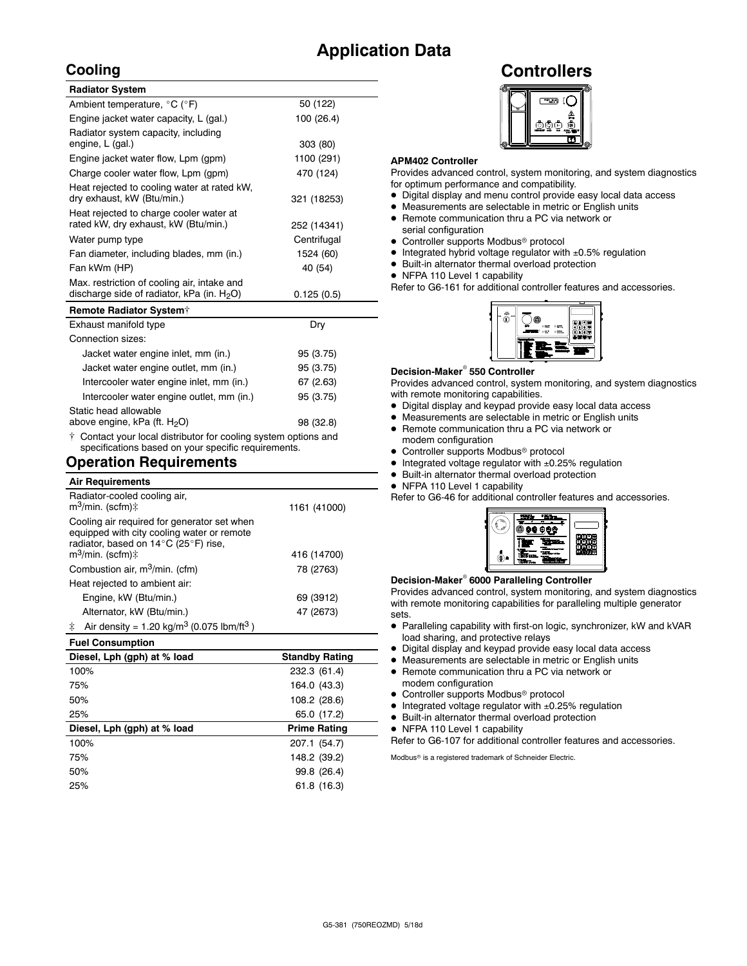# **Application Data**

# **Cooling**

| <b>Radiator System</b>                                                                       |             |
|----------------------------------------------------------------------------------------------|-------------|
| Ambient temperature, °C (°F)                                                                 | 50 (122)    |
| Engine jacket water capacity, L (gal.)                                                       | 100 (26.4)  |
| Radiator system capacity, including<br>engine, L (gal.)                                      | 303 (80)    |
| Engine jacket water flow, Lpm (gpm)                                                          | 1100 (291)  |
| Charge cooler water flow, Lpm (gpm)                                                          | 470 (124)   |
| Heat rejected to cooling water at rated kW,<br>dry exhaust, kW (Btu/min.)                    | 321 (18253) |
| Heat rejected to charge cooler water at<br>rated kW, dry exhaust, kW (Btu/min.)              | 252 (14341) |
| Water pump type                                                                              | Centrifugal |
| Fan diameter, including blades, mm (in.)                                                     | 1524 (60)   |
| Fan kWm (HP)                                                                                 | 40 (54)     |
| Max. restriction of cooling air, intake and<br>discharge side of radiator, kPa (in. $H_2O$ ) | 0.125(0.5)  |
| <b>Remote Radiator System†</b>                                                               |             |

| Exhaust manifold type                                               | Dry       |
|---------------------------------------------------------------------|-----------|
| Connection sizes:                                                   |           |
| Jacket water engine inlet, mm (in.)                                 | 95 (3.75) |
| Jacket water engine outlet, mm (in.)                                | 95 (3.75) |
| Intercooler water engine inlet, mm (in.)                            | 67 (2.63) |
| Intercooler water engine outlet, mm (in.)                           | 95 (3.75) |
| Static head allowable                                               |           |
| above engine, kPa (ft. H <sub>2</sub> O)                            | 98 (32.8) |
| $\pm$ Contact your local distributor for cooling system options and |           |

Contact your local distributor for cooling system options and specifications based on your specific requirements.

# **Operation Requirements**

| <b>Air Requirements</b>                                                                                                                                            |              |
|--------------------------------------------------------------------------------------------------------------------------------------------------------------------|--------------|
| Radiator-cooled cooling air,<br>$m^3$ /min. (scfm) $\ddagger$                                                                                                      | 1161 (41000) |
| Cooling air required for generator set when<br>equipped with city cooling water or remote<br>radiator, based on 14°C (25°F) rise,<br>$m^3$ /min. (scfm) $\ddagger$ | 416 (14700)  |
|                                                                                                                                                                    |              |
| Combustion air, m <sup>3</sup> /min. (cfm)                                                                                                                         | 78 (2763)    |
| Heat rejected to ambient air:                                                                                                                                      |              |
| Engine, kW (Btu/min.)                                                                                                                                              | 69 (3912)    |
| Alternator, kW (Btu/min.)                                                                                                                                          | 47 (2673)    |
| Air density = 1.20 kg/m <sup>3</sup> (0.075 lbm/ft <sup>3</sup> )<br>‡.                                                                                            |              |

| <b>Fuel Consumption</b>     |                       |
|-----------------------------|-----------------------|
| Diesel, Lph (gph) at % load | <b>Standby Rating</b> |
| 100%                        | 232.3 (61.4)          |
| 75%                         | 164.0 (43.3)          |
| 50%                         | 108.2 (28.6)          |
| 25%                         | 65.0 (17.2)           |
| Diesel, Lph (gph) at % load | <b>Prime Rating</b>   |
| 100%                        | 207.1 (54.7)          |
| 75%                         | 148.2 (39.2)          |
| 50%                         | 99.8 (26.4)           |
| 25%                         | 61.8 (16.3)           |
|                             |                       |

# **Controllers**



#### **APM402 Controller**

Provides advanced control, system monitoring, and system diagnostics for optimum performance and compatibility.

- $\bullet$  Digital display and menu control provide easy local data access
- $\bullet$  Measurements are selectable in metric or English units
- Remote communication thru a PC via network or serial configuration
- $\bullet$  Controller supports Modbus® protocol
- $\bullet$  Integrated hybrid voltage regulator with  $\pm 0.5\%$  regulation
- $\bullet$  Built-in alternator thermal overload protection
- NFPA 110 Level 1 capability

Refer to G6-161 for additional controller features and accessories.



#### **Decision-Maker<sup>®</sup> 550 Controller**

Provides advanced control, system monitoring, and system diagnostics with remote monitoring capabilities.

- Digital display and keypad provide easy local data access
- $\bullet$  Measurements are selectable in metric or English units
- Remote communication thru a PC via network or modem configuration
- Controller supports Modbus<sup>®</sup> protocol
- Integrated voltage regulator with  $\pm 0.25\%$  regulation
- $\bullet$  Built-in alternator thermal overload protection
- NFPA 110 Level 1 capability

Refer to G6-46 for additional controller features and accessories.



#### **Decision-Maker<sup>®</sup> 6000 Paralleling Controller**

Provides advanced control, system monitoring, and system diagnostics with remote monitoring capabilities for paralleling multiple generator sets.

- Paralleling capability with first-on logic, synchronizer, kW and kVAR load sharing, and protective relays
- $\bullet$  Digital display and keypad provide easy local data access
- $\bullet$  Measurements are selectable in metric or English units
- Remote communication thru a PC via network or modem configuration
- Controller supports Modbus<sup>®</sup> protocol
- $\bullet$  Integrated voltage regulator with  $\pm 0.25\%$  regulation
- $\bullet$  Built-in alternator thermal overload protection
- NFPA 110 Level 1 capability
- Refer to G6-107 for additional controller features and accessories.

Modbus<sup>®</sup> is a registered trademark of Schneider Electric.